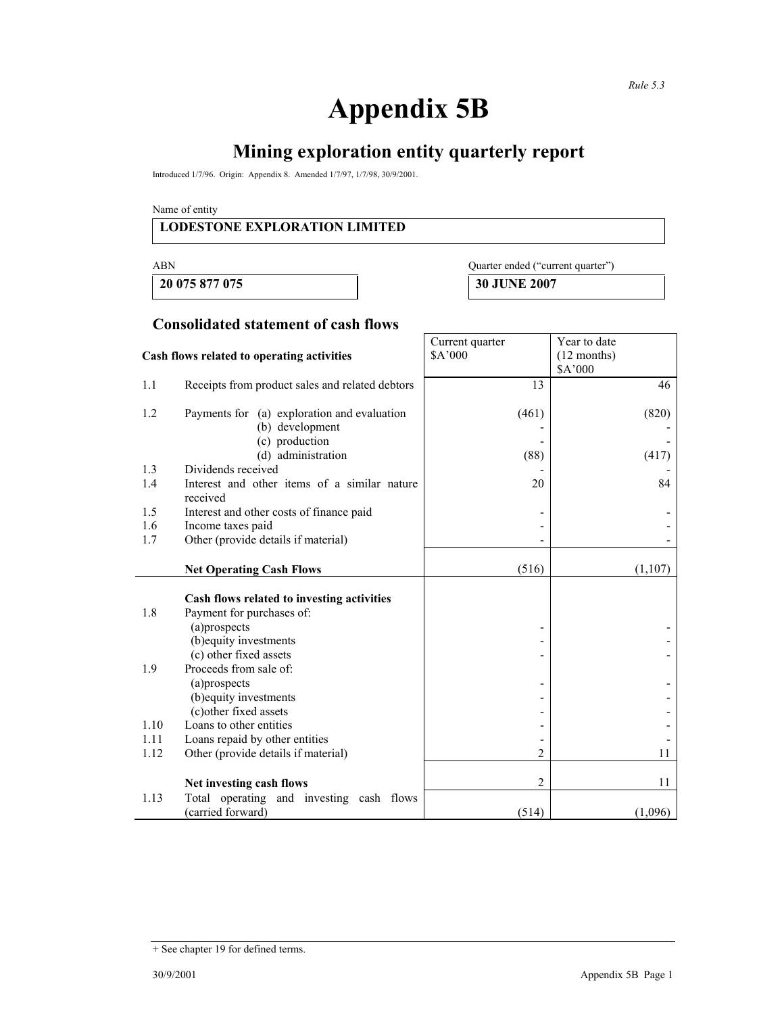# **Appendix 5B**

# **Mining exploration entity quarterly report**

Introduced 1/7/96. Origin: Appendix 8. Amended 1/7/97, 1/7/98, 30/9/2001.

Name of entity

#### **LODESTONE EXPLORATION LIMITED**

**20 075 877 075 30 JUNE 2007** 

| ABN            | Quarter ended ("current quarter") |
|----------------|-----------------------------------|
| 20 075 877 075 | <b>30 HINE 2007</b>               |

#### **Consolidated statement of cash flows**

|                                            |                                                                | Current quarter | Year to date  |
|--------------------------------------------|----------------------------------------------------------------|-----------------|---------------|
| Cash flows related to operating activities |                                                                | \$A'000         | $(12$ months) |
|                                            |                                                                |                 | \$A'000       |
| 1.1                                        | Receipts from product sales and related debtors                | 13              | 46            |
| 1.2                                        | Payments for (a) exploration and evaluation<br>(b) development | (461)           | (820)         |
|                                            | (c) production<br>(d) administration                           | (88)            | (417)         |
| 1.3                                        | Dividends received                                             |                 |               |
| 1.4                                        | Interest and other items of a similar nature<br>received       | 20              | 84            |
| 1.5                                        | Interest and other costs of finance paid                       |                 |               |
| 1.6                                        | Income taxes paid                                              |                 |               |
| 1.7                                        | Other (provide details if material)                            |                 |               |
|                                            |                                                                |                 |               |
|                                            | <b>Net Operating Cash Flows</b>                                | (516)           | (1,107)       |
|                                            | Cash flows related to investing activities                     |                 |               |
| 1.8                                        | Payment for purchases of:                                      |                 |               |
|                                            | (a)prospects                                                   |                 |               |
|                                            | (b) equity investments                                         |                 |               |
|                                            | (c) other fixed assets                                         |                 |               |
| 1.9                                        | Proceeds from sale of:                                         |                 |               |
|                                            | (a)prospects                                                   |                 |               |
|                                            | (b) equity investments                                         |                 |               |
|                                            | (c) other fixed assets                                         |                 |               |
| 1.10                                       | Loans to other entities                                        |                 |               |
| 1.11                                       | Loans repaid by other entities                                 |                 |               |
| 1.12                                       | Other (provide details if material)                            | 2               | 11            |
|                                            |                                                                |                 |               |
|                                            | Net investing cash flows                                       | 2               | 11            |
| 1.13                                       | Total operating and investing cash flows                       |                 |               |
|                                            | (carried forward)                                              | (514)           | (1,096)       |

<sup>+</sup> See chapter 19 for defined terms.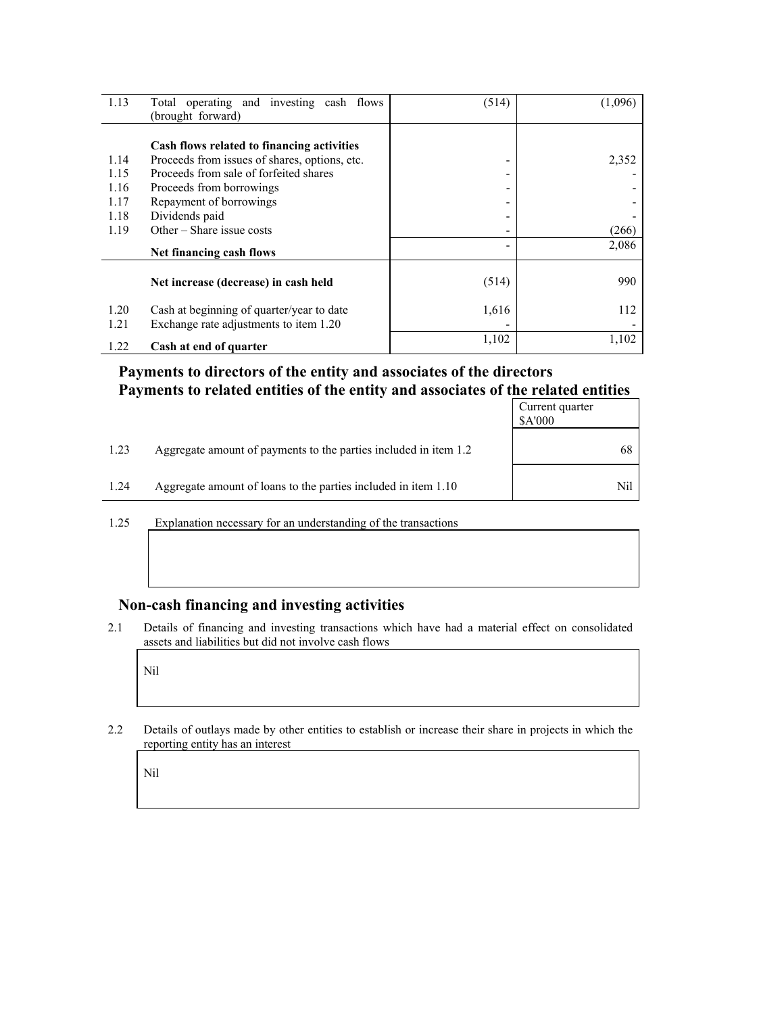| 1.13                         | Total operating and investing cash flows<br>(brought forward)                                                                                                                                | (514)       | (1,096) |
|------------------------------|----------------------------------------------------------------------------------------------------------------------------------------------------------------------------------------------|-------------|---------|
| 1.14<br>1.15<br>1.16<br>1.17 | Cash flows related to financing activities<br>Proceeds from issues of shares, options, etc.<br>Proceeds from sale of forfeited shares<br>Proceeds from borrowings<br>Repayment of borrowings | ۰<br>۰<br>- | 2,352   |
| 1.18<br>1.19                 | Dividends paid<br>Other – Share issue costs                                                                                                                                                  | -<br>۰      | (266)   |
|                              | Net financing cash flows                                                                                                                                                                     |             | 2,086   |
|                              | Net increase (decrease) in cash held                                                                                                                                                         | (514)       | 990     |
| 1.20<br>1.21                 | Cash at beginning of quarter/year to date<br>Exchange rate adjustments to item 1.20                                                                                                          | 1,616       | 112     |
| 1.22                         | Cash at end of quarter                                                                                                                                                                       | 1,102       | 1,102   |

### **Payments to directors of the entity and associates of the directors Payments to related entities of the entity and associates of the related entities**

|      |                                                                  | Current quarter<br>\$A'000 |
|------|------------------------------------------------------------------|----------------------------|
| 1.23 | Aggregate amount of payments to the parties included in item 1.2 | 68                         |
| 1.24 | Aggregate amount of loans to the parties included in item 1.10   | Nil                        |

1.25 Explanation necessary for an understanding of the transactions

#### **Non-cash financing and investing activities**

2.1 Details of financing and investing transactions which have had a material effect on consolidated assets and liabilities but did not involve cash flows

Nil

2.2 Details of outlays made by other entities to establish or increase their share in projects in which the reporting entity has an interest

Nil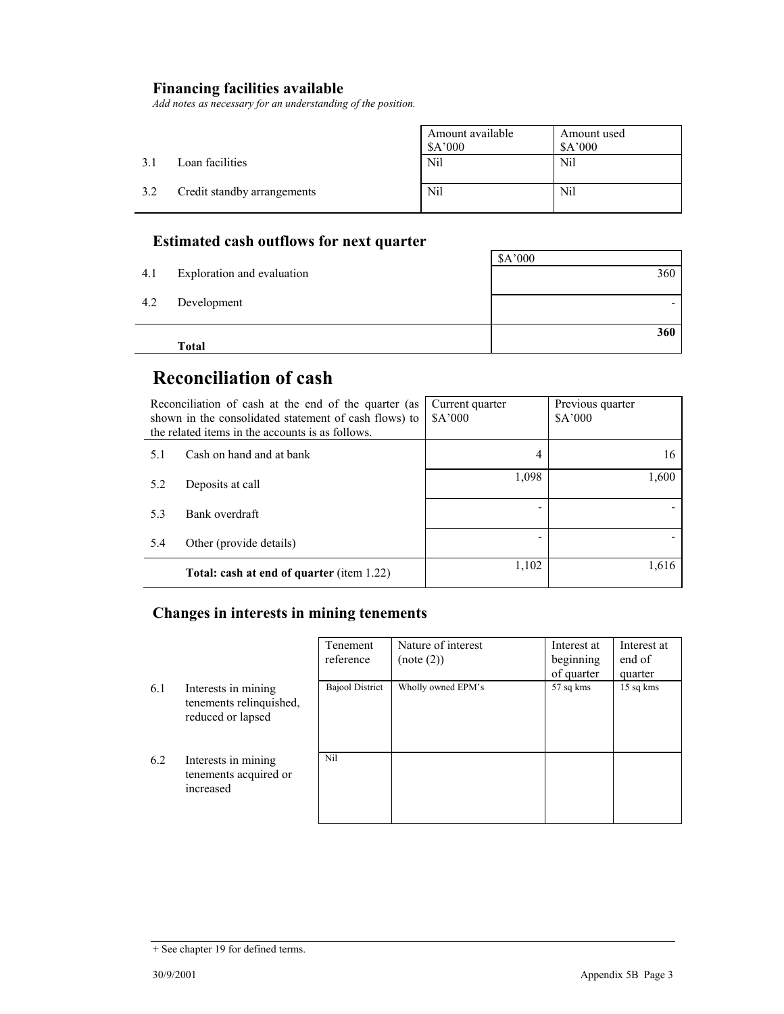## **Financing facilities available**

*Add notes as necessary for an understanding of the position.* 

|     |                             | Amount available<br>\$A'000 | Amount used<br>\$A'000 |
|-----|-----------------------------|-----------------------------|------------------------|
| 3.1 | Loan facilities             | Nil                         | Nil                    |
| 3.2 | Credit standby arrangements | Nil                         | Nil                    |

## **Estimated cash outflows for next quarter**

|     |                            | \$A'000 |
|-----|----------------------------|---------|
| 4.1 | Exploration and evaluation | 360     |
|     |                            |         |
| 4.2 | Development                |         |
|     |                            |         |
|     |                            | 360     |
|     | Total                      |         |

## **Reconciliation of cash**

| Reconciliation of cash at the end of the quarter (as<br>shown in the consolidated statement of cash flows) to<br>the related items in the accounts is as follows. |                                                  | Current quarter<br>A'000 | Previous quarter<br>\$A'000 |
|-------------------------------------------------------------------------------------------------------------------------------------------------------------------|--------------------------------------------------|--------------------------|-----------------------------|
| 5.1                                                                                                                                                               | Cash on hand and at bank                         | 4                        | 16                          |
| 5.2                                                                                                                                                               | Deposits at call                                 | 1,098                    | 1,600                       |
| 5.3                                                                                                                                                               | Bank overdraft                                   |                          |                             |
| 5.4                                                                                                                                                               | Other (provide details)                          |                          |                             |
|                                                                                                                                                                   | <b>Total: cash at end of quarter (item 1.22)</b> | 1,102                    | 1,616                       |

### **Changes in interests in mining tenements**

|     |                                                                     | Tenement               | Nature of interest | Interest at | Interest at |
|-----|---------------------------------------------------------------------|------------------------|--------------------|-------------|-------------|
|     |                                                                     | reference              | (note (2))         | beginning   | end of      |
|     |                                                                     |                        |                    | of quarter  | quarter     |
| 6.1 | Interests in mining<br>tenements relinquished,<br>reduced or lapsed | <b>Bajool District</b> | Wholly owned EPM's | 57 sq kms   | 15 sq kms   |
| 6.2 | Interests in mining<br>tenements acquired or<br>increased           | Nil                    |                    |             |             |

<sup>+</sup> See chapter 19 for defined terms.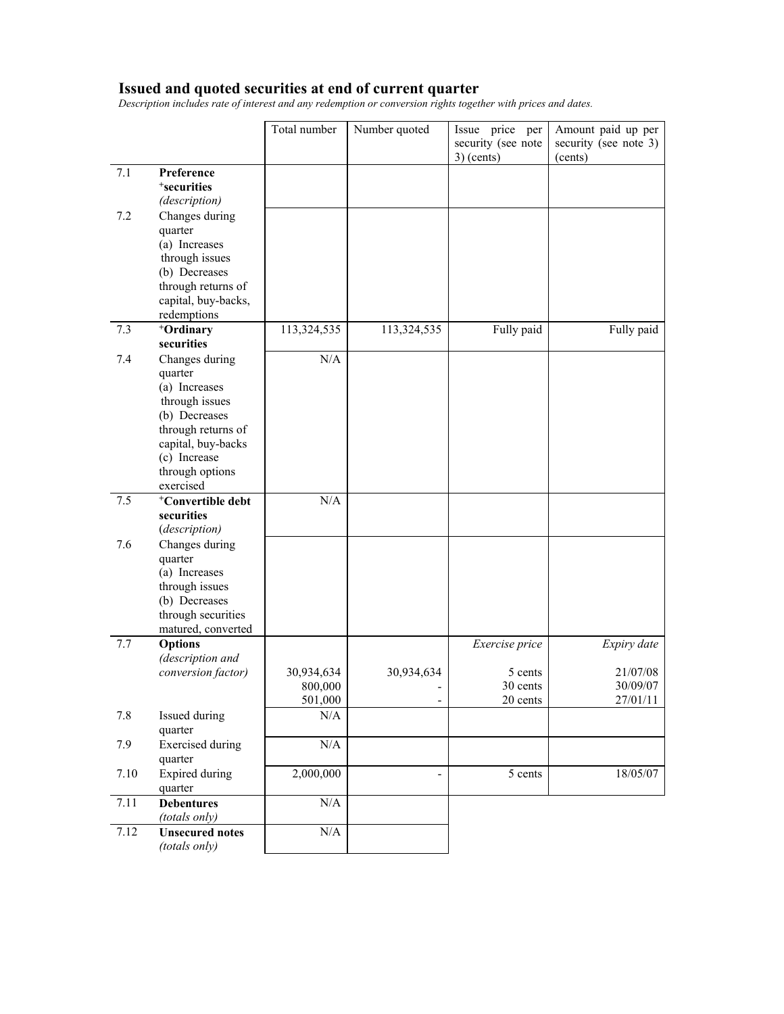#### **Issued and quoted securities at end of current quarter**

*Description includes rate of interest and any redemption or conversion rights together with prices and dates.* 

|      |                                                                                                                                                                           | Total number                     | Number quoted                          | Issue price per<br>security (see note<br>$3)$ (cents) | Amount paid up per<br>security (see note 3)<br>(cents) |
|------|---------------------------------------------------------------------------------------------------------------------------------------------------------------------------|----------------------------------|----------------------------------------|-------------------------------------------------------|--------------------------------------------------------|
| 7.1  | Preference<br><sup>+</sup> securities<br>(description)                                                                                                                    |                                  |                                        |                                                       |                                                        |
| 7.2  | Changes during<br>quarter<br>(a) Increases<br>through issues<br>(b) Decreases<br>through returns of<br>capital, buy-backs,<br>redemptions                                 |                                  |                                        |                                                       |                                                        |
| 7.3  | +Ordinary<br>securities                                                                                                                                                   | 113,324,535                      | 113,324,535                            | Fully paid                                            | Fully paid                                             |
| 7.4  | Changes during<br>quarter<br>(a) Increases<br>through issues<br>(b) Decreases<br>through returns of<br>capital, buy-backs<br>(c) Increase<br>through options<br>exercised | N/A                              |                                        |                                                       |                                                        |
| 7.5  | <sup>+</sup> Convertible debt<br>securities<br>(description)                                                                                                              | N/A                              |                                        |                                                       |                                                        |
| 7.6  | Changes during<br>quarter<br>(a) Increases<br>through issues<br>(b) Decreases<br>through securities<br>matured, converted                                                 |                                  |                                        |                                                       |                                                        |
| 7.7  | <b>Options</b><br>(description and                                                                                                                                        |                                  |                                        | Exercise price                                        | Expiry date                                            |
|      | conversion factor)                                                                                                                                                        | 30,934,634<br>800,000<br>501,000 | 30,934,634<br>$\overline{\phantom{a}}$ | 5 cents<br>30 cents<br>20 cents                       | 21/07/08<br>30/09/07<br>27/01/11                       |
| 7.8  | Issued during<br>quarter                                                                                                                                                  | N/A                              |                                        |                                                       |                                                        |
| 7.9  | <b>Exercised</b> during<br>quarter                                                                                                                                        | N/A                              |                                        |                                                       |                                                        |
| 7.10 | <b>Expired during</b><br>quarter                                                                                                                                          | 2,000,000                        | $\blacksquare$                         | 5 cents                                               | 18/05/07                                               |
| 7.11 | <b>Debentures</b><br>(totals only)                                                                                                                                        | N/A                              |                                        |                                                       |                                                        |
| 7.12 | <b>Unsecured notes</b><br>(totals only)                                                                                                                                   | $\rm N/A$                        |                                        |                                                       |                                                        |